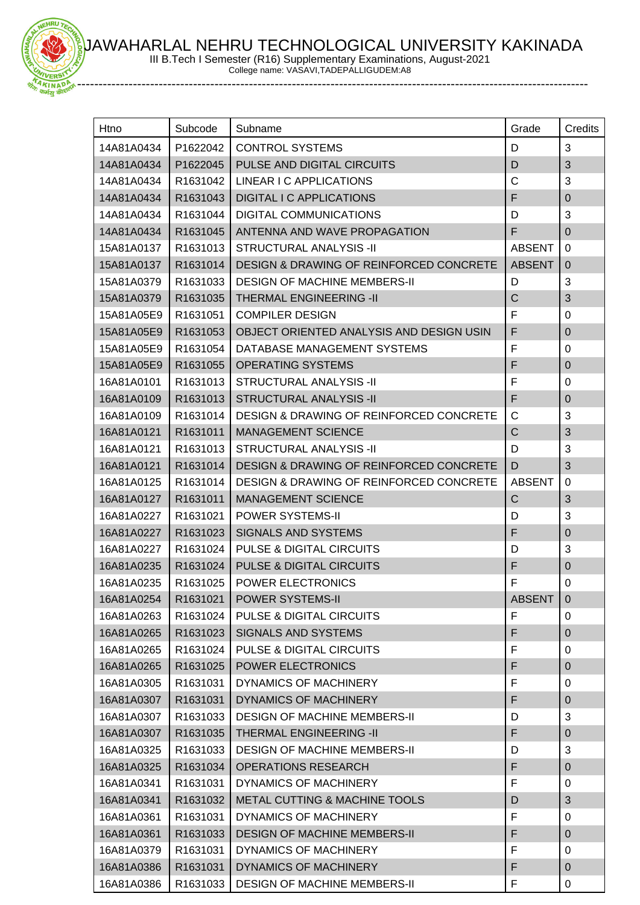AWAHARLAL NEHRU TECHNOLOGICAL UNIVERSITY KAKINADA



 $-11011$ 

III B.Tech I Semester (R16) Supplementary Examinations, August-2021

College name: VASAVI,TADEPALLIGUDEM:A8

| Htno       | Subcode  | Subname                                            | Grade         | Credits        |
|------------|----------|----------------------------------------------------|---------------|----------------|
| 14A81A0434 | P1622042 | <b>CONTROL SYSTEMS</b>                             | D             | 3              |
| 14A81A0434 | P1622045 | PULSE AND DIGITAL CIRCUITS                         | D             | 3              |
| 14A81A0434 | R1631042 | <b>LINEAR I C APPLICATIONS</b>                     | $\mathsf C$   | 3              |
| 14A81A0434 | R1631043 | <b>DIGITAL I C APPLICATIONS</b>                    | F             | $\mathbf{0}$   |
| 14A81A0434 | R1631044 | <b>DIGITAL COMMUNICATIONS</b>                      | D             | 3              |
| 14A81A0434 | R1631045 | ANTENNA AND WAVE PROPAGATION                       | F             | $\mathbf 0$    |
| 15A81A0137 | R1631013 | <b>STRUCTURAL ANALYSIS -II</b>                     | <b>ABSENT</b> | 0              |
| 15A81A0137 | R1631014 | <b>DESIGN &amp; DRAWING OF REINFORCED CONCRETE</b> | <b>ABSENT</b> | $\overline{0}$ |
| 15A81A0379 | R1631033 | <b>DESIGN OF MACHINE MEMBERS-II</b>                | D             | 3              |
| 15A81A0379 | R1631035 | <b>THERMAL ENGINEERING -II</b>                     | $\mathsf{C}$  | 3              |
| 15A81A05E9 | R1631051 | <b>COMPILER DESIGN</b>                             | F             | 0              |
| 15A81A05E9 | R1631053 | OBJECT ORIENTED ANALYSIS AND DESIGN USIN           | F             | $\mathbf 0$    |
| 15A81A05E9 | R1631054 | DATABASE MANAGEMENT SYSTEMS                        | F             | 0              |
| 15A81A05E9 | R1631055 | <b>OPERATING SYSTEMS</b>                           | F             | $\mathbf 0$    |
| 16A81A0101 | R1631013 | <b>STRUCTURAL ANALYSIS -II</b>                     | $\mathsf F$   | 0              |
| 16A81A0109 | R1631013 | <b>STRUCTURAL ANALYSIS -II</b>                     | F             | $\pmb{0}$      |
| 16A81A0109 | R1631014 | <b>DESIGN &amp; DRAWING OF REINFORCED CONCRETE</b> | C             | 3              |
| 16A81A0121 | R1631011 | <b>MANAGEMENT SCIENCE</b>                          | $\mathsf C$   | 3              |
| 16A81A0121 | R1631013 | <b>STRUCTURAL ANALYSIS -II</b>                     | D             | 3              |
| 16A81A0121 | R1631014 | <b>DESIGN &amp; DRAWING OF REINFORCED CONCRETE</b> | D             | 3              |
| 16A81A0125 | R1631014 | <b>DESIGN &amp; DRAWING OF REINFORCED CONCRETE</b> | <b>ABSENT</b> | 0              |
| 16A81A0127 | R1631011 | <b>MANAGEMENT SCIENCE</b>                          | $\mathsf{C}$  | 3              |
| 16A81A0227 | R1631021 | <b>POWER SYSTEMS-II</b>                            | D             | 3              |
| 16A81A0227 | R1631023 | <b>SIGNALS AND SYSTEMS</b>                         | F             | $\mathbf 0$    |
| 16A81A0227 | R1631024 | <b>PULSE &amp; DIGITAL CIRCUITS</b>                | D             | 3              |
| 16A81A0235 | R1631024 | <b>PULSE &amp; DIGITAL CIRCUITS</b>                | F             | $\pmb{0}$      |
| 16A81A0235 | R1631025 | <b>POWER ELECTRONICS</b>                           | F             | 0              |
| 16A81A0254 | R1631021 | POWER SYSTEMS-II                                   | <b>ABSENT</b> | 0              |
| 16A81A0263 | R1631024 | <b>PULSE &amp; DIGITAL CIRCUITS</b>                | F             | 0              |
| 16A81A0265 | R1631023 | <b>SIGNALS AND SYSTEMS</b>                         | F             | $\overline{0}$ |
| 16A81A0265 | R1631024 | <b>PULSE &amp; DIGITAL CIRCUITS</b>                | F             | 0              |
| 16A81A0265 | R1631025 | <b>POWER ELECTRONICS</b>                           | F             | 0              |
| 16A81A0305 | R1631031 | <b>DYNAMICS OF MACHINERY</b>                       | F             | 0              |
| 16A81A0307 | R1631031 | <b>DYNAMICS OF MACHINERY</b>                       | F             | $\mathbf 0$    |
| 16A81A0307 | R1631033 | <b>DESIGN OF MACHINE MEMBERS-II</b>                | D             | 3              |
| 16A81A0307 | R1631035 | <b>THERMAL ENGINEERING -II</b>                     | F             | $\overline{0}$ |
| 16A81A0325 | R1631033 | <b>DESIGN OF MACHINE MEMBERS-II</b>                | D             | 3              |
| 16A81A0325 | R1631034 | <b>OPERATIONS RESEARCH</b>                         | F             | 0              |
| 16A81A0341 | R1631031 | DYNAMICS OF MACHINERY                              | F             | 0              |
| 16A81A0341 | R1631032 | <b>METAL CUTTING &amp; MACHINE TOOLS</b>           | D             | 3              |
| 16A81A0361 | R1631031 | DYNAMICS OF MACHINERY                              | F             | 0              |
| 16A81A0361 | R1631033 | <b>DESIGN OF MACHINE MEMBERS-II</b>                | F             | 0              |
| 16A81A0379 | R1631031 | DYNAMICS OF MACHINERY                              | F             | 0              |
| 16A81A0386 | R1631031 | DYNAMICS OF MACHINERY                              | F             | $\pmb{0}$      |
| 16A81A0386 | R1631033 | <b>DESIGN OF MACHINE MEMBERS-II</b>                | F             | 0              |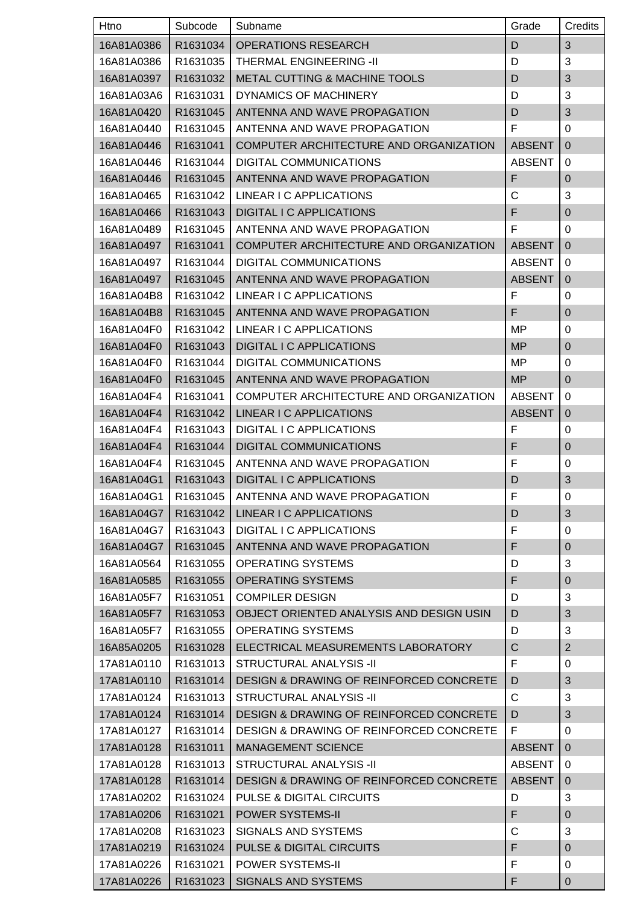| Htno       | Subcode  | Subname                                            | Grade         | Credits          |
|------------|----------|----------------------------------------------------|---------------|------------------|
| 16A81A0386 | R1631034 | <b>OPERATIONS RESEARCH</b>                         | D             | $\mathfrak{B}$   |
| 16A81A0386 | R1631035 | <b>THERMAL ENGINEERING -II</b>                     | D             | 3                |
| 16A81A0397 | R1631032 | METAL CUTTING & MACHINE TOOLS                      | D             | 3                |
| 16A81A03A6 | R1631031 | DYNAMICS OF MACHINERY                              | D             | 3                |
| 16A81A0420 | R1631045 | ANTENNA AND WAVE PROPAGATION                       | D             | 3                |
| 16A81A0440 | R1631045 | ANTENNA AND WAVE PROPAGATION                       | F             | 0                |
| 16A81A0446 | R1631041 | COMPUTER ARCHITECTURE AND ORGANIZATION             | <b>ABSENT</b> | $\mathbf 0$      |
| 16A81A0446 | R1631044 | <b>DIGITAL COMMUNICATIONS</b>                      | <b>ABSENT</b> | $\mathbf 0$      |
| 16A81A0446 | R1631045 | ANTENNA AND WAVE PROPAGATION                       | F             | $\boldsymbol{0}$ |
| 16A81A0465 | R1631042 | LINEAR I C APPLICATIONS                            | C             | 3                |
| 16A81A0466 | R1631043 | <b>DIGITAL I C APPLICATIONS</b>                    | F             | $\boldsymbol{0}$ |
| 16A81A0489 | R1631045 | ANTENNA AND WAVE PROPAGATION                       | F             | 0                |
| 16A81A0497 | R1631041 | COMPUTER ARCHITECTURE AND ORGANIZATION             | <b>ABSENT</b> | $\mathbf 0$      |
| 16A81A0497 | R1631044 | <b>DIGITAL COMMUNICATIONS</b>                      | <b>ABSENT</b> | 0                |
| 16A81A0497 | R1631045 | ANTENNA AND WAVE PROPAGATION                       | <b>ABSENT</b> | $\mathbf 0$      |
| 16A81A04B8 | R1631042 | LINEAR I C APPLICATIONS                            | F             | $\mathbf 0$      |
| 16A81A04B8 | R1631045 | ANTENNA AND WAVE PROPAGATION                       | F             | $\overline{0}$   |
| 16A81A04F0 | R1631042 | LINEAR I C APPLICATIONS                            | MP            | 0                |
| 16A81A04F0 | R1631043 | <b>DIGITAL I C APPLICATIONS</b>                    | <b>MP</b>     | $\mathbf 0$      |
| 16A81A04F0 | R1631044 | <b>DIGITAL COMMUNICATIONS</b>                      | MP            | $\mathbf 0$      |
| 16A81A04F0 | R1631045 | ANTENNA AND WAVE PROPAGATION                       | MP            | $\mathbf 0$      |
| 16A81A04F4 | R1631041 | COMPUTER ARCHITECTURE AND ORGANIZATION             | <b>ABSENT</b> | 0                |
| 16A81A04F4 | R1631042 | LINEAR I C APPLICATIONS                            | <b>ABSENT</b> | $\mathbf 0$      |
| 16A81A04F4 | R1631043 | DIGITAL I C APPLICATIONS                           | F             | 0                |
| 16A81A04F4 | R1631044 | <b>DIGITAL COMMUNICATIONS</b>                      | F             | $\mathbf 0$      |
| 16A81A04F4 | R1631045 | ANTENNA AND WAVE PROPAGATION                       | F             | 0                |
| 16A81A04G1 | R1631043 | <b>DIGITAL I C APPLICATIONS</b>                    | D             | 3                |
| 16A81A04G1 | R1631045 | ANTENNA AND WAVE PROPAGATION                       | F             | 0                |
| 16A81A04G7 | R1631042 | LINEAR I C APPLICATIONS                            | D             | $\sqrt{3}$       |
| 16A81A04G7 | R1631043 | DIGITAL I C APPLICATIONS                           | F             | 0                |
| 16A81A04G7 | R1631045 | ANTENNA AND WAVE PROPAGATION                       | F             | $\mathbf 0$      |
| 16A81A0564 | R1631055 | <b>OPERATING SYSTEMS</b>                           | D             | 3                |
| 16A81A0585 | R1631055 | <b>OPERATING SYSTEMS</b>                           | F             | $\boldsymbol{0}$ |
| 16A81A05F7 | R1631051 | <b>COMPILER DESIGN</b>                             | D             | 3                |
| 16A81A05F7 | R1631053 | OBJECT ORIENTED ANALYSIS AND DESIGN USIN           | D             | $\mathfrak{B}$   |
| 16A81A05F7 | R1631055 | <b>OPERATING SYSTEMS</b>                           | D             | 3                |
| 16A85A0205 | R1631028 | ELECTRICAL MEASUREMENTS LABORATORY                 | $\mathsf C$   | $\overline{2}$   |
| 17A81A0110 | R1631013 | STRUCTURAL ANALYSIS -II                            | F             | 0                |
| 17A81A0110 | R1631014 | <b>DESIGN &amp; DRAWING OF REINFORCED CONCRETE</b> | D             | $\sqrt{3}$       |
| 17A81A0124 | R1631013 | <b>STRUCTURAL ANALYSIS -II</b>                     | C             | 3                |
| 17A81A0124 | R1631014 | DESIGN & DRAWING OF REINFORCED CONCRETE            | D             | 3                |
| 17A81A0127 | R1631014 | <b>DESIGN &amp; DRAWING OF REINFORCED CONCRETE</b> | F             | 0                |
| 17A81A0128 | R1631011 | <b>MANAGEMENT SCIENCE</b>                          | <b>ABSENT</b> | $\overline{0}$   |
| 17A81A0128 | R1631013 | <b>STRUCTURAL ANALYSIS -II</b>                     | <b>ABSENT</b> | 0                |
| 17A81A0128 | R1631014 | DESIGN & DRAWING OF REINFORCED CONCRETE            | <b>ABSENT</b> | $\mathbf 0$      |
| 17A81A0202 | R1631024 | <b>PULSE &amp; DIGITAL CIRCUITS</b>                | D             | 3                |
| 17A81A0206 | R1631021 | <b>POWER SYSTEMS-II</b>                            | F             | $\boldsymbol{0}$ |
| 17A81A0208 | R1631023 | SIGNALS AND SYSTEMS                                | C             | 3                |
| 17A81A0219 | R1631024 | <b>PULSE &amp; DIGITAL CIRCUITS</b>                | F             | $\boldsymbol{0}$ |
| 17A81A0226 | R1631021 | POWER SYSTEMS-II                                   | F             | 0                |
| 17A81A0226 | R1631023 | <b>SIGNALS AND SYSTEMS</b>                         | F             | $\mathbf{0}$     |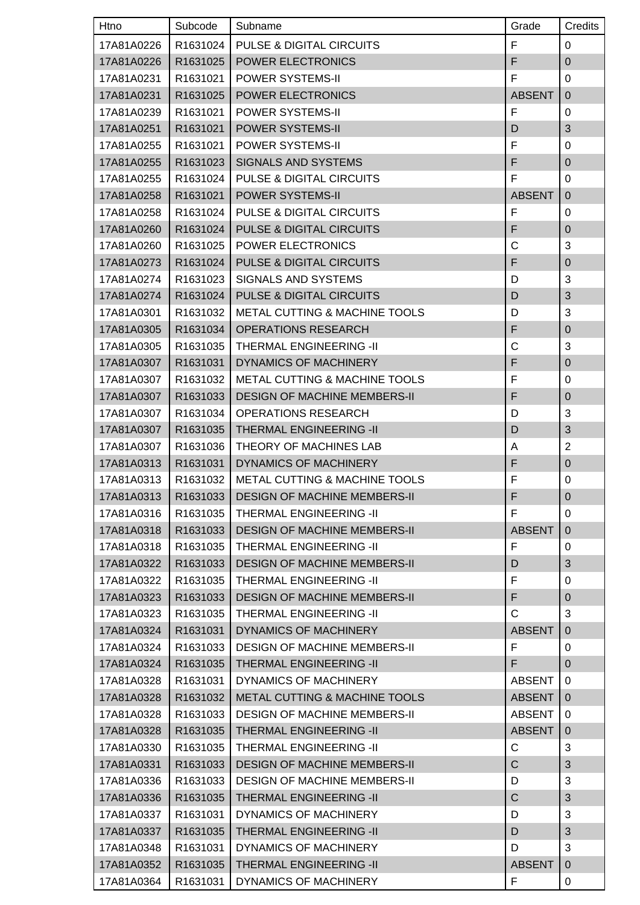| Htno       | Subcode  | Subname                                  | Grade         | Credits        |
|------------|----------|------------------------------------------|---------------|----------------|
| 17A81A0226 | R1631024 | PULSE & DIGITAL CIRCUITS                 | F             | 0              |
| 17A81A0226 | R1631025 | POWER ELECTRONICS                        | F             | $\mathbf 0$    |
| 17A81A0231 | R1631021 | POWER SYSTEMS-II                         | F             | $\Omega$       |
| 17A81A0231 | R1631025 | POWER ELECTRONICS                        | <b>ABSENT</b> | $\mathbf 0$    |
| 17A81A0239 | R1631021 | <b>POWER SYSTEMS-II</b>                  | F             | 0              |
| 17A81A0251 | R1631021 | POWER SYSTEMS-II                         | D             | 3              |
| 17A81A0255 | R1631021 | <b>POWER SYSTEMS-II</b>                  | F             | 0              |
| 17A81A0255 | R1631023 | <b>SIGNALS AND SYSTEMS</b>               | F             | $\mathbf 0$    |
| 17A81A0255 | R1631024 | <b>PULSE &amp; DIGITAL CIRCUITS</b>      | F             | $\Omega$       |
| 17A81A0258 | R1631021 | POWER SYSTEMS-II                         | <b>ABSENT</b> | $\mathbf 0$    |
| 17A81A0258 | R1631024 | <b>PULSE &amp; DIGITAL CIRCUITS</b>      | F             | 0              |
| 17A81A0260 | R1631024 | <b>PULSE &amp; DIGITAL CIRCUITS</b>      | F             | $\pmb{0}$      |
| 17A81A0260 | R1631025 | POWER ELECTRONICS                        | C             | 3              |
| 17A81A0273 | R1631024 | <b>PULSE &amp; DIGITAL CIRCUITS</b>      | F             | $\pmb{0}$      |
| 17A81A0274 | R1631023 | <b>SIGNALS AND SYSTEMS</b>               | D             | 3              |
| 17A81A0274 | R1631024 | <b>PULSE &amp; DIGITAL CIRCUITS</b>      | D             | 3              |
| 17A81A0301 | R1631032 | <b>METAL CUTTING &amp; MACHINE TOOLS</b> | D             | $\mathfrak{S}$ |
| 17A81A0305 | R1631034 | <b>OPERATIONS RESEARCH</b>               | F             | $\pmb{0}$      |
| 17A81A0305 | R1631035 | THERMAL ENGINEERING -II                  | C             | 3              |
| 17A81A0307 | R1631031 | <b>DYNAMICS OF MACHINERY</b>             | F             | $\mathbf 0$    |
| 17A81A0307 | R1631032 | <b>METAL CUTTING &amp; MACHINE TOOLS</b> | F             | 0              |
| 17A81A0307 | R1631033 | <b>DESIGN OF MACHINE MEMBERS-II</b>      | F             | $\mathbf{0}$   |
| 17A81A0307 | R1631034 | <b>OPERATIONS RESEARCH</b>               | D             | 3              |
| 17A81A0307 | R1631035 | THERMAL ENGINEERING -II                  | D             | 3              |
| 17A81A0307 | R1631036 | THEORY OF MACHINES LAB                   | Α             | $\overline{2}$ |
| 17A81A0313 | R1631031 | <b>DYNAMICS OF MACHINERY</b>             | F             | $\pmb{0}$      |
| 17A81A0313 | R1631032 | <b>METAL CUTTING &amp; MACHINE TOOLS</b> | F             | $\pmb{0}$      |
| 17A81A0313 |          | R1631033   DESIGN OF MACHINE MEMBERS-II  | F             | $\overline{0}$ |
| 17A81A0316 | R1631035 | THERMAL ENGINEERING -II                  | F             | 0              |
| 17A81A0318 | R1631033 | <b>DESIGN OF MACHINE MEMBERS-II</b>      | <b>ABSENT</b> | $\mathbf 0$    |
| 17A81A0318 | R1631035 | THERMAL ENGINEERING -II                  | F             | 0              |
| 17A81A0322 | R1631033 | <b>DESIGN OF MACHINE MEMBERS-II</b>      | D             | 3              |
| 17A81A0322 | R1631035 | THERMAL ENGINEERING -II                  | F             | 0              |
| 17A81A0323 | R1631033 | <b>DESIGN OF MACHINE MEMBERS-II</b>      | F             | $\mathbf 0$    |
| 17A81A0323 | R1631035 | THERMAL ENGINEERING -II                  | C             | 3              |
| 17A81A0324 | R1631031 | DYNAMICS OF MACHINERY                    | <b>ABSENT</b> | 0              |
| 17A81A0324 | R1631033 | <b>DESIGN OF MACHINE MEMBERS-II</b>      | F             | 0              |
| 17A81A0324 | R1631035 | <b>THERMAL ENGINEERING -II</b>           | F             | $\mathbf 0$    |
| 17A81A0328 | R1631031 | DYNAMICS OF MACHINERY                    | <b>ABSENT</b> | 0              |
| 17A81A0328 | R1631032 | METAL CUTTING & MACHINE TOOLS            | <b>ABSENT</b> | $\mathbf 0$    |
| 17A81A0328 | R1631033 | <b>DESIGN OF MACHINE MEMBERS-II</b>      | ABSENT        | 0              |
| 17A81A0328 | R1631035 | THERMAL ENGINEERING -II                  | <b>ABSENT</b> | $\mathbf 0$    |
| 17A81A0330 | R1631035 | THERMAL ENGINEERING -II                  | C             | 3              |
| 17A81A0331 | R1631033 | <b>DESIGN OF MACHINE MEMBERS-II</b>      | $\mathsf{C}$  | 3              |
| 17A81A0336 | R1631033 | <b>DESIGN OF MACHINE MEMBERS-II</b>      | D             | 3              |
| 17A81A0336 | R1631035 | <b>THERMAL ENGINEERING -II</b>           | $\mathsf C$   | $\sqrt{3}$     |
| 17A81A0337 | R1631031 | DYNAMICS OF MACHINERY                    | D             | 3              |
| 17A81A0337 | R1631035 | <b>THERMAL ENGINEERING -II</b>           | D             | $\mathfrak{S}$ |
| 17A81A0348 | R1631031 | DYNAMICS OF MACHINERY                    | D             | 3              |
| 17A81A0352 | R1631035 | THERMAL ENGINEERING -II                  | <b>ABSENT</b> | $\overline{0}$ |
| 17A81A0364 | R1631031 | DYNAMICS OF MACHINERY                    | F             | 0              |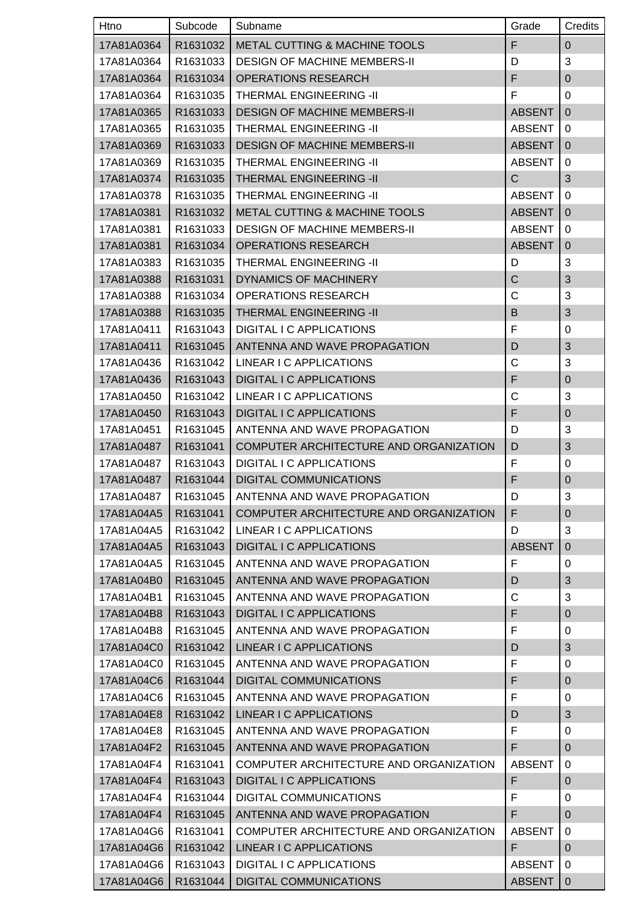| Htno       | Subcode  | Subname                                  | Grade          | Credits          |
|------------|----------|------------------------------------------|----------------|------------------|
| 17A81A0364 | R1631032 | <b>METAL CUTTING &amp; MACHINE TOOLS</b> | F              | $\pmb{0}$        |
| 17A81A0364 | R1631033 | <b>DESIGN OF MACHINE MEMBERS-II</b>      | D              | 3                |
| 17A81A0364 | R1631034 | <b>OPERATIONS RESEARCH</b>               | F              | $\mathbf 0$      |
| 17A81A0364 | R1631035 | THERMAL ENGINEERING -II                  | F              | 0                |
| 17A81A0365 | R1631033 | <b>DESIGN OF MACHINE MEMBERS-II</b>      | <b>ABSENT</b>  | $\mathbf 0$      |
| 17A81A0365 | R1631035 | THERMAL ENGINEERING -II                  | <b>ABSENT</b>  | 0                |
| 17A81A0369 | R1631033 | <b>DESIGN OF MACHINE MEMBERS-II</b>      | <b>ABSENT</b>  | $\mathbf 0$      |
| 17A81A0369 | R1631035 | THERMAL ENGINEERING -II                  | <b>ABSENT</b>  | $\mathbf 0$      |
| 17A81A0374 | R1631035 | THERMAL ENGINEERING -II                  | $\mathsf{C}$   | 3                |
| 17A81A0378 | R1631035 | THERMAL ENGINEERING -II                  | <b>ABSENT</b>  | $\mathbf 0$      |
| 17A81A0381 | R1631032 | <b>METAL CUTTING &amp; MACHINE TOOLS</b> | <b>ABSENT</b>  | $\overline{0}$   |
| 17A81A0381 | R1631033 | <b>DESIGN OF MACHINE MEMBERS-II</b>      | <b>ABSENT</b>  | 0                |
| 17A81A0381 | R1631034 | <b>OPERATIONS RESEARCH</b>               | <b>ABSENT</b>  | $\mathbf 0$      |
| 17A81A0383 | R1631035 | THERMAL ENGINEERING -II                  | D              | 3                |
| 17A81A0388 | R1631031 | <b>DYNAMICS OF MACHINERY</b>             | $\overline{C}$ | 3                |
| 17A81A0388 | R1631034 | <b>OPERATIONS RESEARCH</b>               | C              | 3                |
| 17A81A0388 | R1631035 | <b>THERMAL ENGINEERING -II</b>           | B              | 3                |
| 17A81A0411 | R1631043 | <b>DIGITAL I C APPLICATIONS</b>          | F              | $\mathbf 0$      |
| 17A81A0411 | R1631045 | ANTENNA AND WAVE PROPAGATION             | D              | 3                |
| 17A81A0436 | R1631042 | LINEAR I C APPLICATIONS                  | $\mathsf C$    | 3                |
| 17A81A0436 | R1631043 | <b>DIGITAL I C APPLICATIONS</b>          | F              | $\pmb{0}$        |
| 17A81A0450 | R1631042 | LINEAR I C APPLICATIONS                  | C              | 3                |
| 17A81A0450 | R1631043 | <b>DIGITAL I C APPLICATIONS</b>          | F              | $\mathbf 0$      |
| 17A81A0451 | R1631045 | ANTENNA AND WAVE PROPAGATION             | D              | 3                |
| 17A81A0487 | R1631041 | COMPUTER ARCHITECTURE AND ORGANIZATION   | D              | 3                |
| 17A81A0487 | R1631043 | DIGITAL I C APPLICATIONS                 | F              | 0                |
| 17A81A0487 | R1631044 | <b>DIGITAL COMMUNICATIONS</b>            | F              | $\boldsymbol{0}$ |
| 17A81A0487 | R1631045 | ANTENNA AND WAVE PROPAGATION             | D              | $\mathbf{3}$     |
| 17A81A04A5 | R1631041 | COMPUTER ARCHITECTURE AND ORGANIZATION   | F              | $\pmb{0}$        |
| 17A81A04A5 | R1631042 | LINEAR I C APPLICATIONS                  | D              | 3                |
| 17A81A04A5 | R1631043 | <b>DIGITAL I C APPLICATIONS</b>          | <b>ABSENT</b>  | $\overline{0}$   |
| 17A81A04A5 | R1631045 | ANTENNA AND WAVE PROPAGATION             | F              | 0                |
| 17A81A04B0 | R1631045 | ANTENNA AND WAVE PROPAGATION             | D              | 3                |
| 17A81A04B1 | R1631045 | ANTENNA AND WAVE PROPAGATION             | C              | 3                |
| 17A81A04B8 | R1631043 | <b>DIGITAL I C APPLICATIONS</b>          | F              | $\boldsymbol{0}$ |
| 17A81A04B8 | R1631045 | ANTENNA AND WAVE PROPAGATION             | F              | 0                |
| 17A81A04C0 | R1631042 | LINEAR I C APPLICATIONS                  | D              | 3                |
| 17A81A04C0 | R1631045 | ANTENNA AND WAVE PROPAGATION             | F              | 0                |
| 17A81A04C6 | R1631044 | <b>DIGITAL COMMUNICATIONS</b>            | F              | $\boldsymbol{0}$ |
| 17A81A04C6 | R1631045 | ANTENNA AND WAVE PROPAGATION             | F              | 0                |
| 17A81A04E8 | R1631042 | LINEAR I C APPLICATIONS                  | D              | 3                |
| 17A81A04E8 | R1631045 | ANTENNA AND WAVE PROPAGATION             | F              | 0                |
| 17A81A04F2 | R1631045 | ANTENNA AND WAVE PROPAGATION             | F              | $\overline{0}$   |
| 17A81A04F4 | R1631041 | COMPUTER ARCHITECTURE AND ORGANIZATION   | <b>ABSENT</b>  | 0                |
| 17A81A04F4 | R1631043 | <b>DIGITAL I C APPLICATIONS</b>          | F              | $\pmb{0}$        |
| 17A81A04F4 | R1631044 | DIGITAL COMMUNICATIONS                   | F              | 0                |
| 17A81A04F4 | R1631045 | ANTENNA AND WAVE PROPAGATION             | F              | $\mathbf 0$      |
| 17A81A04G6 | R1631041 | COMPUTER ARCHITECTURE AND ORGANIZATION   | <b>ABSENT</b>  | 0                |
| 17A81A04G6 | R1631042 | LINEAR I C APPLICATIONS                  | F              | $\mathbf 0$      |
| 17A81A04G6 | R1631043 | DIGITAL I C APPLICATIONS                 | <b>ABSENT</b>  | 0                |
| 17A81A04G6 | R1631044 | <b>DIGITAL COMMUNICATIONS</b>            | <b>ABSENT</b>  | $\mathbf 0$      |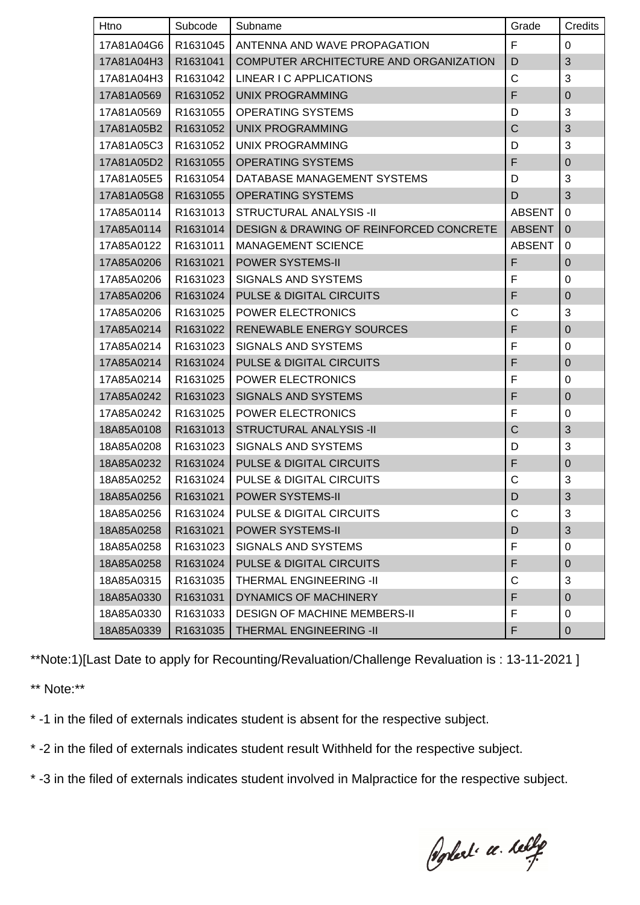| Htno       | Subcode  | Subname                                            | Grade          | Credits        |
|------------|----------|----------------------------------------------------|----------------|----------------|
| 17A81A04G6 | R1631045 | ANTENNA AND WAVE PROPAGATION                       | F              | 0              |
| 17A81A04H3 | R1631041 | COMPUTER ARCHITECTURE AND ORGANIZATION             | D              | $\mathfrak{B}$ |
| 17A81A04H3 | R1631042 | LINEAR I C APPLICATIONS                            | $\mathsf{C}$   | $\mathfrak{S}$ |
| 17A81A0569 | R1631052 | <b>UNIX PROGRAMMING</b>                            | F              | $\mathbf 0$    |
| 17A81A0569 | R1631055 | <b>OPERATING SYSTEMS</b>                           | D              | 3              |
| 17A81A05B2 | R1631052 | <b>UNIX PROGRAMMING</b>                            | $\overline{C}$ | 3              |
| 17A81A05C3 | R1631052 | UNIX PROGRAMMING                                   | D              | 3              |
| 17A81A05D2 | R1631055 | <b>OPERATING SYSTEMS</b>                           | F              | $\mathbf 0$    |
| 17A81A05E5 | R1631054 | DATABASE MANAGEMENT SYSTEMS                        | D              | $\mathfrak{S}$ |
| 17A81A05G8 | R1631055 | <b>OPERATING SYSTEMS</b>                           | D              | 3              |
| 17A85A0114 | R1631013 | <b>STRUCTURAL ANALYSIS -II</b>                     | <b>ABSENT</b>  | $\mathbf 0$    |
| 17A85A0114 | R1631014 | <b>DESIGN &amp; DRAWING OF REINFORCED CONCRETE</b> | <b>ABSENT</b>  | $\mathbf 0$    |
| 17A85A0122 | R1631011 | <b>MANAGEMENT SCIENCE</b>                          | <b>ABSENT</b>  | 0              |
| 17A85A0206 | R1631021 | POWER SYSTEMS-II                                   | F              | $\mathbf 0$    |
| 17A85A0206 | R1631023 | <b>SIGNALS AND SYSTEMS</b>                         | F              | 0              |
| 17A85A0206 | R1631024 | <b>PULSE &amp; DIGITAL CIRCUITS</b>                | F              | $\mathbf 0$    |
| 17A85A0206 | R1631025 | POWER ELECTRONICS                                  | C              | 3              |
| 17A85A0214 | R1631022 | <b>RENEWABLE ENERGY SOURCES</b>                    | F              | $\mathbf 0$    |
| 17A85A0214 | R1631023 | <b>SIGNALS AND SYSTEMS</b>                         | F              | 0              |
| 17A85A0214 | R1631024 | <b>PULSE &amp; DIGITAL CIRCUITS</b>                | F              | $\pmb{0}$      |
| 17A85A0214 | R1631025 | POWER ELECTRONICS                                  | F              | 0              |
| 17A85A0242 | R1631023 | <b>SIGNALS AND SYSTEMS</b>                         | F              | $\pmb{0}$      |
| 17A85A0242 | R1631025 | POWER ELECTRONICS                                  | F              | $\mathbf 0$    |
| 18A85A0108 | R1631013 | <b>STRUCTURAL ANALYSIS -II</b>                     | C              | $\sqrt{3}$     |
| 18A85A0208 | R1631023 | <b>SIGNALS AND SYSTEMS</b>                         | D              | 3              |
| 18A85A0232 | R1631024 | <b>PULSE &amp; DIGITAL CIRCUITS</b>                | F              | $\mathbf 0$    |
| 18A85A0252 | R1631024 | PULSE & DIGITAL CIRCUITS                           | C              | $\mathbf{3}$   |
|            |          | 18A85A0256   R1631021   POWER SYSTEMS-II           | D              | $\sqrt{3}$     |
| 18A85A0256 | R1631024 | <b>PULSE &amp; DIGITAL CIRCUITS</b>                | C              | 3              |
| 18A85A0258 | R1631021 | <b>POWER SYSTEMS-II</b>                            | D              | $\mathfrak{B}$ |
| 18A85A0258 | R1631023 | SIGNALS AND SYSTEMS                                | F              | 0              |
| 18A85A0258 | R1631024 | <b>PULSE &amp; DIGITAL CIRCUITS</b>                | F              | $\pmb{0}$      |
| 18A85A0315 | R1631035 | THERMAL ENGINEERING -II                            | C              | 3              |
| 18A85A0330 | R1631031 | <b>DYNAMICS OF MACHINERY</b>                       | F              | $\mathbf 0$    |
| 18A85A0330 | R1631033 | <b>DESIGN OF MACHINE MEMBERS-II</b>                | F              | 0              |
| 18A85A0339 | R1631035 | THERMAL ENGINEERING -II                            | F              | 0              |

\*\*Note:1)[Last Date to apply for Recounting/Revaluation/Challenge Revaluation is : 13-11-2021 ]

\*\* Note:\*\*

\* -1 in the filed of externals indicates student is absent for the respective subject.

\* -2 in the filed of externals indicates student result Withheld for the respective subject.

\* -3 in the filed of externals indicates student involved in Malpractice for the respective subject.

Poplet a leby